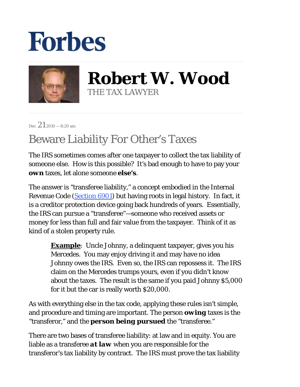## **Forbes**



**Robert W. Wood** THE TAX LAWYER

Dec.  $212010 - 8:20$  am

## Beware Liability For Other's Taxes

The IRS sometimes comes after one taxpayer to collect the tax liability of someone else. How is this possible? It's bad enough to have to pay your *own* taxes, let alone someone *else's*.

The answer is "transferee liability," a concept embodied in the Internal Revenue Code [\(Section 6901](http://www.taxalmanac.org/index.php/Internal_Revenue_Code:Sec._6901._Transferred_assets)) but having roots in legal history. In fact, it is a creditor protection device going back hundreds of years. Essentially, the IRS can pursue a "transferee"—someone who received assets or money for less than full and fair value from the taxpayer. Think of it as kind of a stolen property rule.

> **Example**: Uncle Johnny, a delinquent taxpayer, gives you his Mercedes. You may enjoy driving it and may have no idea Johnny owes the IRS. Even so, the IRS can repossess it. The IRS claim on the Mercedes trumps yours, even if you didn't know about the taxes. The result is the same if you paid Johnny \$5,000 for it but the car is really worth \$20,000.

As with everything else in the tax code, applying these rules isn't simple, and procedure and timing are important. The person *owing* taxes is the "transferor," and the *person being pursued* the "transferee."

There are two bases of transferee liability: at law and in equity. You are liable as a transferee *at law* when you are responsible for the transferor's tax liability by contract. The IRS must prove the tax liability